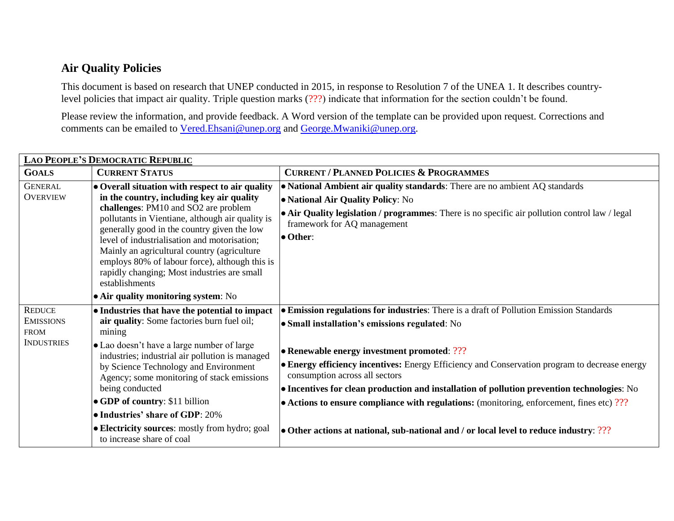## **Air Quality Policies**

This document is based on research that UNEP conducted in 2015, in response to Resolution 7 of the UNEA 1. It describes countrylevel policies that impact air quality. Triple question marks (???) indicate that information for the section couldn't be found.

Please review the information, and provide feedback. A Word version of the template can be provided upon request. Corrections and comments can be emailed to [Vered.Ehsani@unep.org](mailto:Vered.Ehsani@unep.org) and [George.Mwaniki@unep.org.](mailto:George.Mwaniki@unep.org)

| LAO PEOPLE'S DEMOCRATIC REPUBLIC                     |                                                                                                                                                                                                                                                                                                                                                                                                                                                                   |                                                                                                                                                                                                                                                               |  |
|------------------------------------------------------|-------------------------------------------------------------------------------------------------------------------------------------------------------------------------------------------------------------------------------------------------------------------------------------------------------------------------------------------------------------------------------------------------------------------------------------------------------------------|---------------------------------------------------------------------------------------------------------------------------------------------------------------------------------------------------------------------------------------------------------------|--|
| <b>GOALS</b>                                         | <b>CURRENT STATUS</b>                                                                                                                                                                                                                                                                                                                                                                                                                                             | <b>CURRENT / PLANNED POLICIES &amp; PROGRAMMES</b>                                                                                                                                                                                                            |  |
| <b>GENERAL</b><br><b>OVERVIEW</b>                    | $\bullet$ Overall situation with respect to air quality<br>in the country, including key air quality<br>challenges: PM10 and SO2 are problem<br>pollutants in Vientiane, although air quality is<br>generally good in the country given the low<br>level of industrialisation and motorisation;<br>Mainly an agricultural country (agriculture<br>employs 80% of labour force), although this is<br>rapidly changing; Most industries are small<br>establishments | • National Ambient air quality standards: There are no ambient AQ standards<br>• National Air Quality Policy: No<br>• Air Quality legislation / programmes: There is no specific air pollution control law / legal<br>framework for AQ management<br>• Other: |  |
| <b>REDUCE</b>                                        | $\bullet$ Air quality monitoring system: No<br>• Industries that have the potential to impact                                                                                                                                                                                                                                                                                                                                                                     | • Emission regulations for industries: There is a draft of Pollution Emission Standards                                                                                                                                                                       |  |
| <b>EMISSIONS</b><br><b>FROM</b><br><b>INDUSTRIES</b> | air quality: Some factories burn fuel oil;<br>mining                                                                                                                                                                                                                                                                                                                                                                                                              | <b>• Small installation's emissions regulated:</b> No                                                                                                                                                                                                         |  |
|                                                      | • Lao doesn't have a large number of large<br>industries; industrial air pollution is managed<br>by Science Technology and Environment                                                                                                                                                                                                                                                                                                                            | • Renewable energy investment promoted: $?$ ??<br>• Energy efficiency incentives: Energy Efficiency and Conservation program to decrease energy                                                                                                               |  |
|                                                      | Agency; some monitoring of stack emissions                                                                                                                                                                                                                                                                                                                                                                                                                        | consumption across all sectors                                                                                                                                                                                                                                |  |
|                                                      | being conducted<br>$\bullet$ GDP of country: \$11 billion                                                                                                                                                                                                                                                                                                                                                                                                         | • Incentives for clean production and installation of pollution prevention technologies: No                                                                                                                                                                   |  |
|                                                      | • Industries' share of GDP: 20%                                                                                                                                                                                                                                                                                                                                                                                                                                   | • Actions to ensure compliance with regulations: (monitoring, enforcement, fines etc) $22$                                                                                                                                                                    |  |
|                                                      | <b>Electricity sources:</b> mostly from hydro; goal<br>to increase share of coal                                                                                                                                                                                                                                                                                                                                                                                  | • Other actions at national, sub-national and / or local level to reduce industry: $?$ ??                                                                                                                                                                     |  |